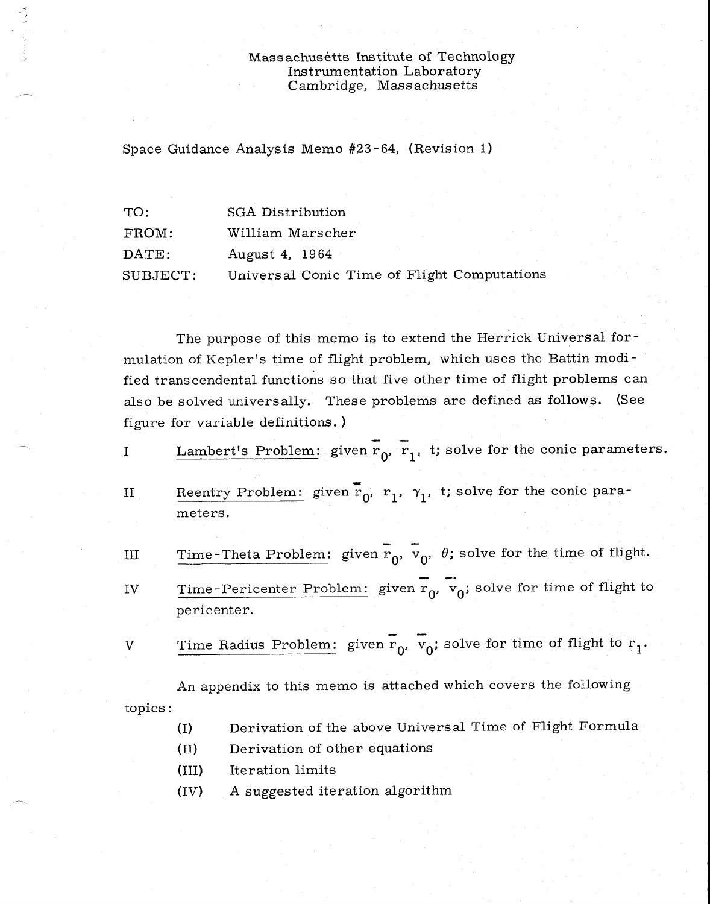#### Massachusetts Institute of Technology Instrumentation Laboratory Cambridge, Massachusetts

Space Guidance Analysis Memo #23-64, (Revision 1)

 $\frac{1}{2}$ 

| TO:      | <b>SGA Distribution</b>                     |
|----------|---------------------------------------------|
| FROM:    | William Marscher                            |
| DATE:    | August 4, 1964                              |
| SUBJECT: | Universal Conic Time of Flight Computations |

The purpose of this memo is to extend the Herrick Universal formulation of Kepler's time of flight problem, which uses the Battin modified transcendental functions so that five other time of flight problems can also be solved universally. These problems are defined as follows. (See figure for variable definitions. )

- Lambert's Problem: given  $\overline{r}_0$ ,  $\overline{r}_1$ , t; solve for the conic parameters.  $\mathbf I$
- Reentry Problem: given  $\overline{\mathbf{r}}_0$ ,  $\mathbf{r}_1$ ,  $\gamma_1$ , t; solve for the conic para- $II$ meters.
- Time-Theta Problem: given  $\overline{r}_0$ ,  $\overline{v}_0$ ,  $\theta$ ; solve for the time of flight.  $III$

Time-Pericenter Problem: given  $r_0$ ,  $v_0$ ; solve for time of flight to IV pericenter.

V Time Radius Problem: given  $\overline{r}_0$ ,  $\overline{v}_0$ ; solve for time of flight to  $r_1$ .

An appendix to this memo is attached which covers the following topics:

- (I) Derivation of the above Universal Time of Flight Formula
- (II) Derivation of other equations
- (III) Iteration limits
- (IV) A suggested iteration algorithm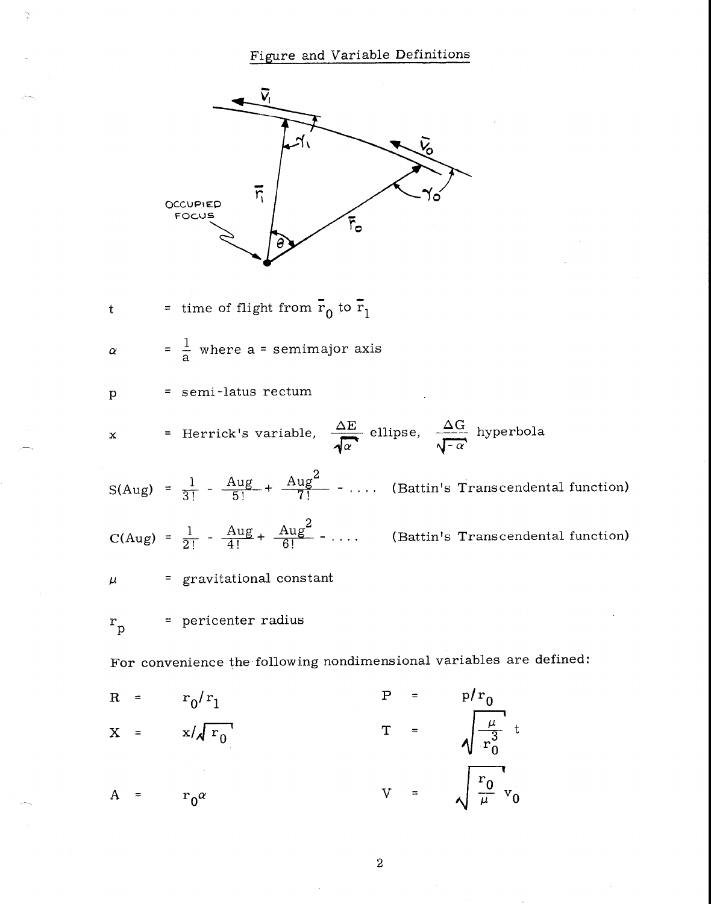Figure and Variable Definitions



 $A = r_0^{\alpha}$ 

2

 $V =$ 

 $\frac{r_0}{v_0}$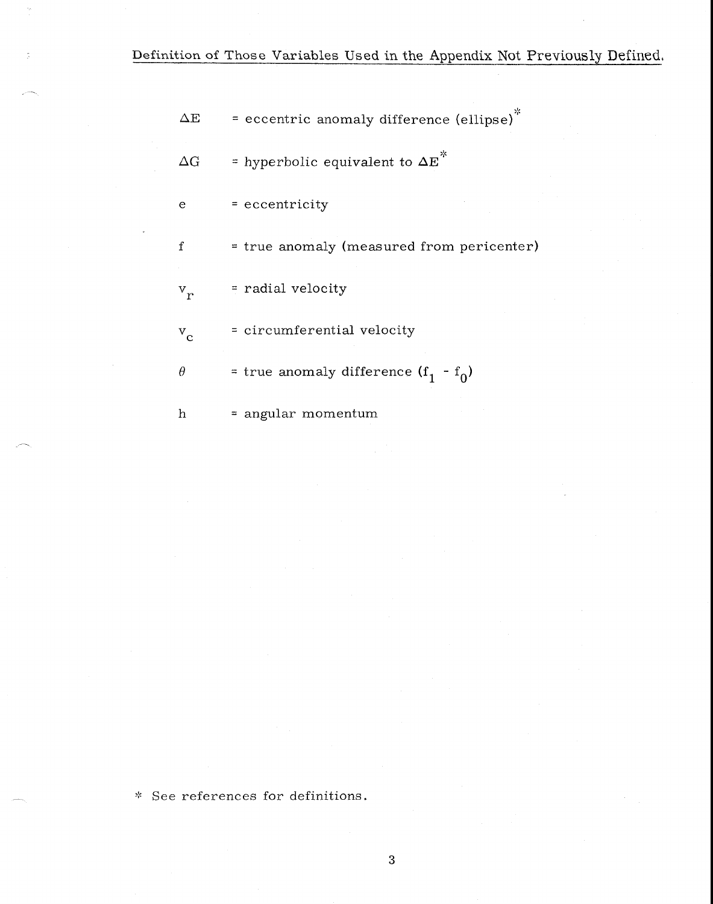Definition of Those Variables Used in the Appendix Not Previously Defined.

 $\Delta E$  = eccentric anomaly difference (ellipse)<sup>\*</sup>

 $\Delta G$  = hyperbolic equivalent to  $\Delta E^*$ 

 $e = eccentricity$ 

 $f = true$  anomaly (measured from pericenter)

v r = radial velocity

v c = circumferential velocity

 $\theta$  = true anomaly difference  $(f_1 - f_0)$ 

h = angular momentum

\* See references for definitions.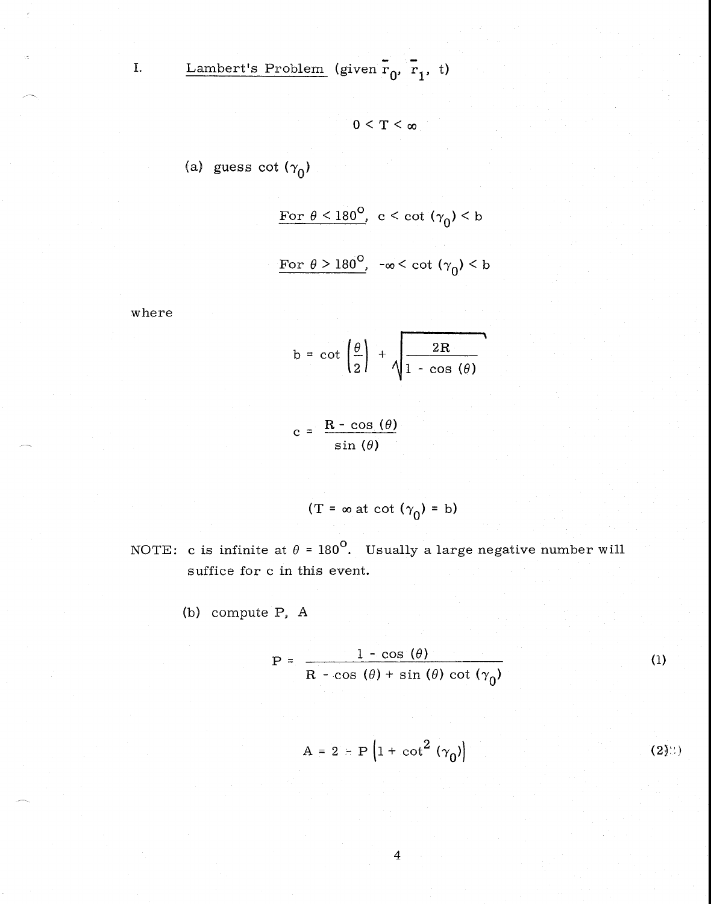I. Lambert's Problem (given  $\overline{r}_0$ ,  $\overline{r}_1$ , t)

$$
0<\mathrm{T}<\infty
$$

(a) guess cot 
$$
(\gamma_0)
$$

For 
$$
\theta < 180^{\circ}
$$
,  $c < \cot(\gamma_0) < b$ \n\nFor  $\theta > 180^{\circ}$ ,  $-\infty < \cot(\gamma_0) < b$ 

where

$$
b = \cot\left(\frac{\theta}{2}\right) + \sqrt{\frac{2R}{1 - \cos(\theta)}}
$$

 $c = \frac{\mathbf{R} - \cos(\theta)}{2}$  $sin (\theta)$ 

$$
(T = \infty \text{ at } \cot (\gamma_0) = b)
$$

NOTE: c is infinite at  $\theta = 180^\circ$ . Usually a large negative number will suffice for c in this event.

(b) compute P, A

$$
P = \frac{1 - \cos(\theta)}{R - \cos(\theta) + \sin(\theta) \cot(\gamma_0)}
$$
 (1)

$$
A = 2 - P \left( 1 + \cot^2 (\gamma_0) \right)
$$
 (2)8)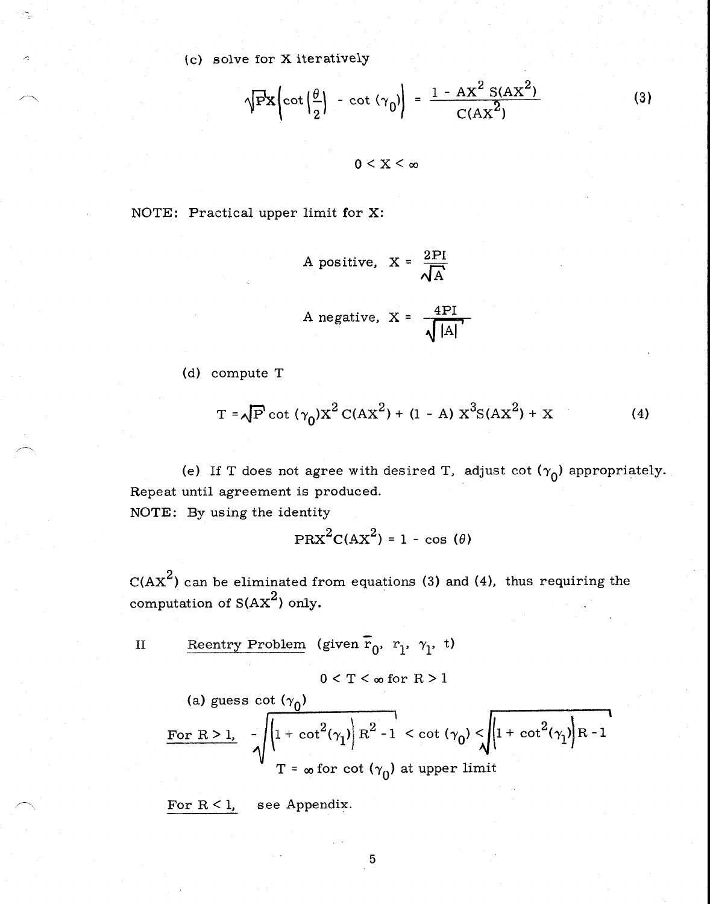(c) solve for X iteratively

$$
\sqrt{\mathbf{P}}\mathbf{X}\left(\cot\left(\frac{\theta}{2}\right) - \cot\left(\gamma_0\right)\right) = \frac{1 - AX^2 S(AX^2)}{C(AX^2)}
$$
(3)

 $0 \leq X \leq \infty$ 

NOTE: Practical upper limit for X:

A positive, 
$$
X = \frac{2PI}{\sqrt{A}}
$$
  
A negative,  $X = \frac{4PI}{\sqrt{|A|}}$ 

(d) compute T

$$
T = \sqrt{P} \cot (\gamma_0) X^2 C(AX^2) + (1 - A) X^3 S(AX^2) + X \tag{4}
$$

(e) If T does not agree with desired T, adjust cot  $(\gamma_0)$  appropriately. Repeat until agreement is produced.

NOTE: By using the identity

$$
PRX^{2}C(AX^{2}) = 1 - \cos(\theta)
$$

 $\mathrm{C(AX}^2)$  can be eliminated from equations (3) and (4), thus requiring the computation of  $S(AX^2)$  only.

II Reentry Problem (given 
$$
\overline{r}_0
$$
,  $r_1$ ,  $\gamma_1$ , t)

$$
0 < T < \infty \text{ for } R > 1
$$

(a) guess 
$$
\cot (\gamma_0)
$$
  
\nFor R > 1,  $-\sqrt{\left|1 + \cot^2(\gamma_1)\right| R^2 - 1} < \cot (\gamma_0) < \sqrt{\left|1 + \cot^2(\gamma_1)\right| R - 1}$   
\n $T = \infty$  for  $\cot (\gamma_0)$  at upper limit

For  $R < 1$ , see Appendix.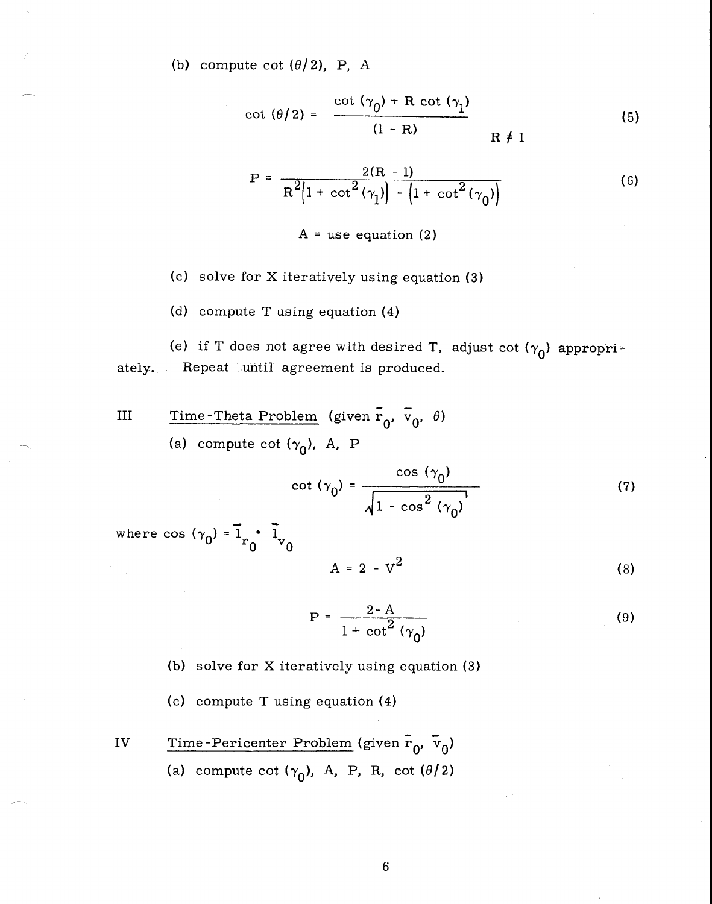(b) compute cot  $(\theta/2)$ , P, A

$$
\cot (\theta/2) = \frac{\cot (\gamma_0) + R \cot (\gamma_1)}{(1 - R)} \qquad R \neq 1
$$
 (5)

$$
(1 - R)
$$
  
R f 1  

$$
P = \frac{2(R - 1)}{R^{2}(1 + \cot^{2}(\gamma_{1})) - (1 + \cot^{2}(\gamma_{0}))}
$$
(6)

 $A =$  use equation (2)

(c) solve for X iteratively using equation (3)

(d) compute T using equation (4)

(e) if T does not agree with desired T, adjust cot  $(\gamma_0)$  appropriately. Repeat until agreement is produced.

III Time-Theta Problem (given 
$$
\overline{r}_0
$$
,  $\overline{v}_0$ ,  $\theta$ )  
(a) compute cot  $(\gamma_0)$ , A, P

$$
\cot (\gamma_0) = \frac{\cos (\gamma_0)}{\sqrt{1 - \cos^2 (\gamma_0)}}
$$
 (7)

where cos  $(\gamma_0) = \overline{1}_{r_0} \cdot \overline{1}$  $0^{V^{\perp}}$  0

$$
A = 2 - V^2 \tag{8}
$$

$$
P = \frac{2 - A}{1 + \cot^2 (\gamma_0)}
$$
 (9)

- (b) solve for X iteratively using equation (3)
- (c) compute T using equation (4)
- IV Time-Pericenter Problem (given  $\bar{r}_0$ ,  $\bar{v}_0$ ) (a) compute cot  $(\gamma_0)$ , A, P, R, cot  $(\theta/2)$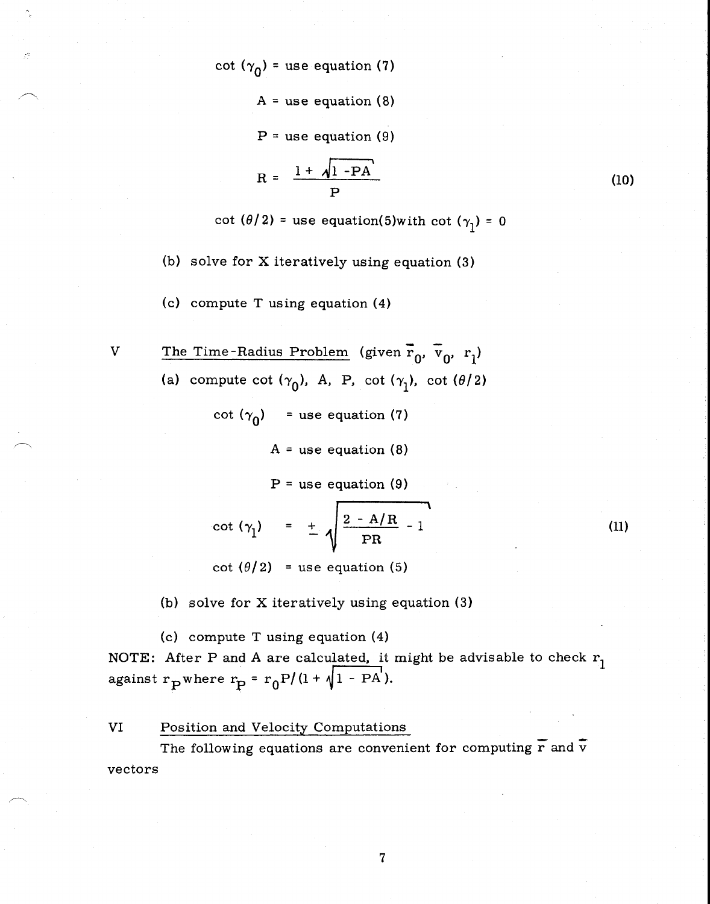cot  $(\gamma_0)$  = use equation (7)

 $A =$  use equation (8)

 $P =$  use equation (9)

$$
R = \frac{1 + \sqrt{1 - PA}}{P}
$$

cot  $(\theta/2)$  = use equation(5)with cot  $(\gamma_1)$  = 0

(10)

 $(11)$ 

(b) solve for X iteratively using equation (3)

(c) compute T using equation (4)

V The Time-Radius Problem (given  $\overline{r}_0$ ,  $\overline{v}_0$ ,  $r_1$ ) (a) compute cot  $(\gamma_0)$ , A, P, cot  $(\gamma_1)$ , cot  $(\theta/2)$ 

cot  $(\gamma_0)$  = use equation (7)

A = use equation (8)

**P** <sup>=</sup> use equation (9)

$$
\cot (\gamma_1) = \pm \sqrt{\frac{2 - A/R}{PR}} - 1
$$

cot  $(\theta/2)$  = use equation (5)

(b) solve for X iteratively using equation (3)

(c) compute T using equation (4) NOTE: After P and A are calculated, it might be advisable to check  $r_1$ against  $r_{\text{P}}$  where  $r_{\text{P}} = r_0 P/(1 + \sqrt{1 - PA}).$ 

VI Position and Velocity Computations

The following equations are convenient for computing  $\overline{r}$  and  $\overline{v}$ vectors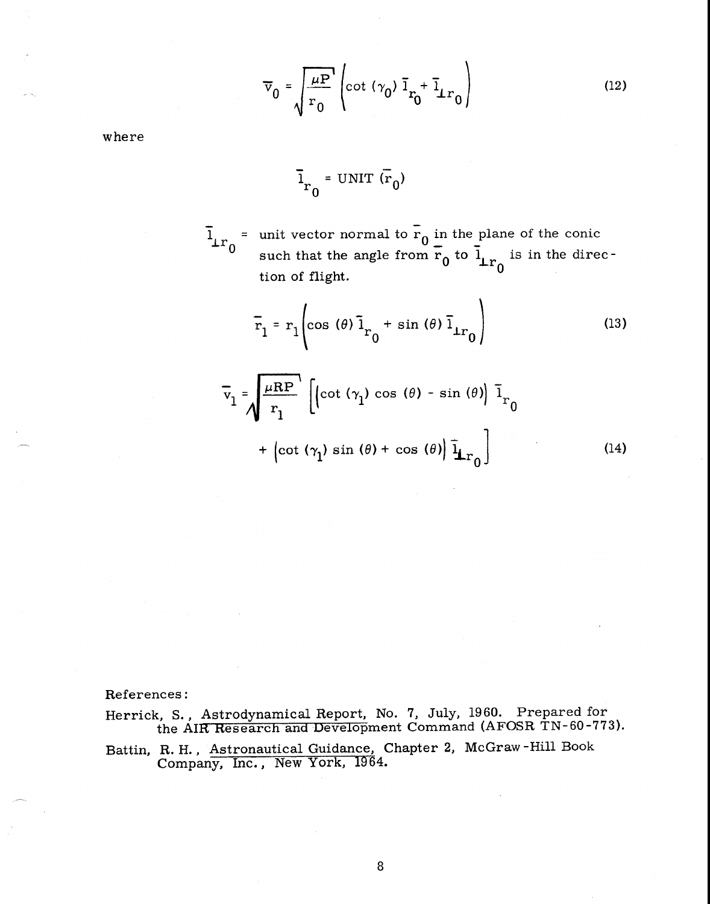$$
\overline{v}_0 = \sqrt{\frac{\mu P}{r_0}} \left( \cot (\gamma_0) \overline{1}_{r_0} + \overline{1}_{r_0} \right)
$$
 (12)

where

$$
\bar{1}_{r_0} = \text{UNIT} (\bar{r}_0)
$$

 $\overline{1}_{r_0}$  = unit vector normal to  $\overline{r}_0$  in the plane of the conic <sup>0</sup> such that the angle from  $\overline{r}_0$  to  $\overline{l}_{rr_0}$  is in the direction of flight.  $\begin{bmatrix} 0 \\ 0 \end{bmatrix}$ 

$$
\bar{r}_1 = r_1 \left( \cos \left( \theta \right) \bar{1}_{r_0} + \sin \left( \theta \right) \bar{1}_{\perp r_0} \right) \tag{13}
$$

$$
\overline{v}_1 = \sqrt{\frac{\mu \text{R} \text{P}}{r_1}} \left[ \left( \cot (\gamma_1) \cos (\theta) - \sin (\theta) \right) \overline{1}_{r_0} + \left( \cot (\gamma_1) \sin (\theta) + \cos (\theta) \right) \overline{1}_{r_0} \right]
$$
(14)

References:

Herrick, S., Astrodynamical Report, No. 7, July, 1960. Prepared for the AIR Research and Development Command (AFOSR TN-60-773).

Battin, R. H., Astronautical Guidance, Chapter 2, McGraw -Hill Book Company, Inc., New York, 1964.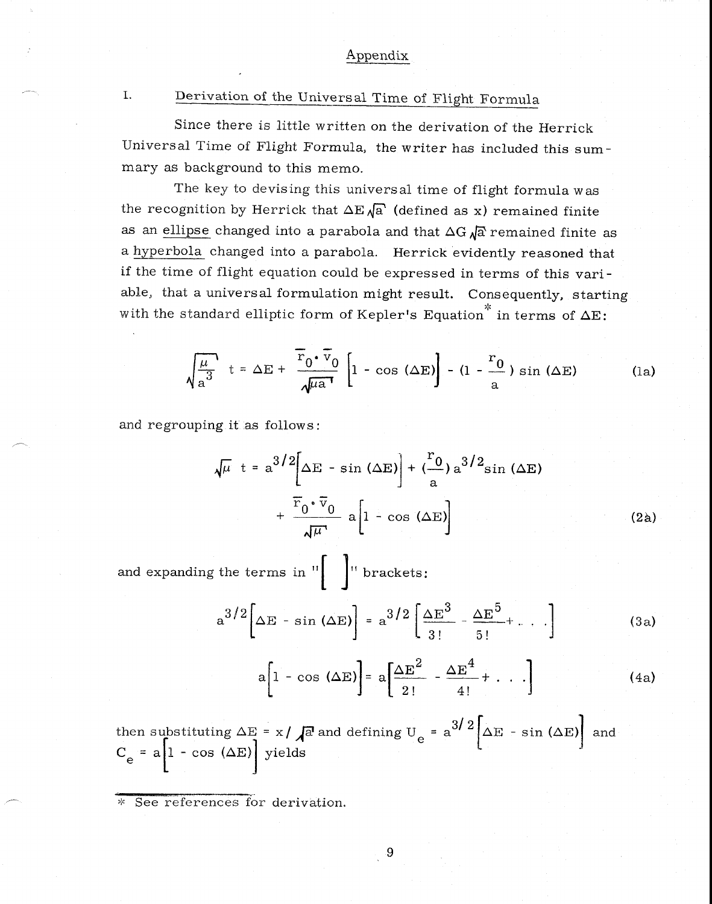# I. Derivation of the Universal Time of Flight Formula

Since there is little written on the derivation of the Herrick Universal Time of Flight Formula, the writer has included this summary as background to this memo.

The key to devising this universal time of flight formula was the recognition by Herrick that  $\Delta E \sqrt{a}$  (defined as x) remained finite as an ellipse changed into a parabola and that  $\Delta G \sqrt{a}$  remained finite as a hyperbola changed into a parabola. Herrick evidently reasoned that<br>
if the time of flight equation could be expressed in terms of this vari-<br>
able, that a universal formulation might result. Consequently, starting<br>
with if the time of flight equation could be expressed in terms of this variable, that a universal formulation might result. Consequently, starting with the standard elliptic form of Kepler's Equation<sup>\*</sup> in terms of  $\Delta E$ :

$$
\sqrt{\frac{\mu}{a^3}} \quad t = \Delta E + \frac{\overline{r}_0 \cdot \overline{v}_0}{\sqrt{\mu a^1}} \left[ 1 - \cos (\Delta E) \right] - (1 - \frac{r_0}{a}) \sin (\Delta E) \tag{1a}
$$

and regrouping it as follows:

$$
\sqrt{\mu} t = a^{3/2} \left[ \Delta E - \sin (\Delta E) \right] + \left( \frac{r_0}{a} \right) a^{3/2} \sin (\Delta E)
$$
  
+ 
$$
\frac{\overline{r}_0 \cdot \overline{v}_0}{\sqrt{\mu}} a \left[ 1 - \cos (\Delta E) \right]
$$
 (2a)

and expanding the terms in  $\left\| \cdot \right\|$  is brackets:

$$
a^{3/2}\left[\Delta E - \sin(\Delta E)\right] = a^{3/2}\left[\frac{\Delta E^3}{3!} - \frac{\Delta E^5}{5!} + \dots\right]
$$
 (3a)

$$
a\left[1 - \cos (\Delta E)\right] = a\left[\frac{\Delta E^2}{2!} - \frac{\Delta E^4}{4!} + \cdots\right]
$$
 (4a)

then substituting  $\Delta E= x/\sqrt{a}$  and defining U  $_{e}$  = a<sup>3/2</sup>  $\Delta E$  - sin ( $\Delta E)$  and  $\overline{a}$  $C_e = a \left| 1 - \cos (\Delta E) \right|$  yields

\* See references for derivation.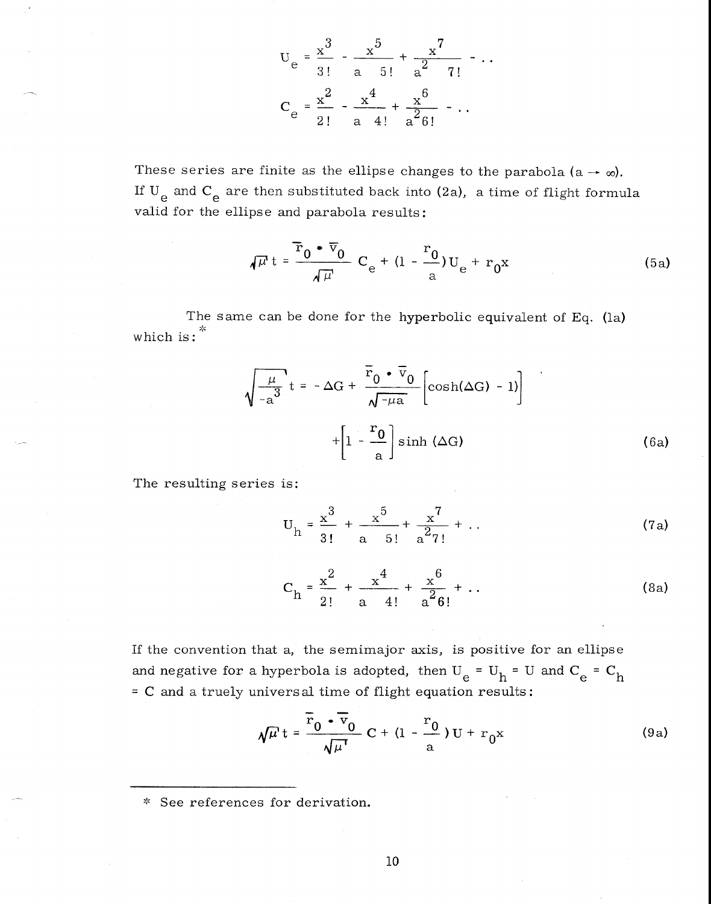$$
U_{e} = \frac{x^{3}}{3!} - \frac{x^{5}}{a \quad 5!} + \frac{x^{7}}{a^{2} \quad 7!} - \cdots
$$
  

$$
C_{e} = \frac{x^{2}}{2!} - \frac{x^{4}}{a \quad 4!} + \frac{x^{6}}{a^{2} 6!} - \cdots
$$

These series are finite as the ellipse changes to the parabola (a  $\rightarrow \infty$ ). If  $\rm{U}_{_{\bf\rm{e}}}$  and  $\rm{C}_{_{\bf\rm{e}}}$  are then substituted back into (2a), a time of flight formula valid for the ellipse and parabola results:

$$
\sqrt{\mu} t = \frac{\overline{r}_0 \cdot \overline{v}_0}{\sqrt{\mu}} C_e + (1 - \frac{r_0}{a}) U_e + r_0 x
$$
 (5a)

The same can be done for the hyperbolic equivalent of Eq. (la) which is:  $*$ 

$$
\sqrt{\frac{\mu}{-a^3}}t = -\Delta G + \frac{\overline{r}_0 \cdot \overline{v}_0}{\sqrt{-\mu a}} \left[ \cosh(\Delta G) - 1) \right]
$$
  
+ 
$$
\left[ 1 - \frac{r_0}{a} \right] \sinh(\Delta G)
$$
(6a)

The resulting series is:

$$
U_{h} = \frac{x^{3}}{3!} + \frac{x^{5}}{a} + \frac{x^{7}}{a^{2}7!} + \dots
$$
 (7a)

$$
C_{h} = \frac{x^{2}}{2!} + \frac{x^{4}}{a} + \frac{x^{6}}{a^{2}6!} + \dots
$$
 (8a)

If the convention that a, the semimajor axis, is positive for an ellipse and negative for a hyperbola is adopted, then  $U_e = U_h = U$  and  $C_e = C_h$ = C and a truely universal time of flight equation results:

$$
\sqrt{\mu} t = \frac{\overline{r}_0 \cdot \overline{v}_0}{\sqrt{\mu}} C + (1 - \frac{r_0}{a}) U + r_0 x
$$
 (9a)

See references for derivation.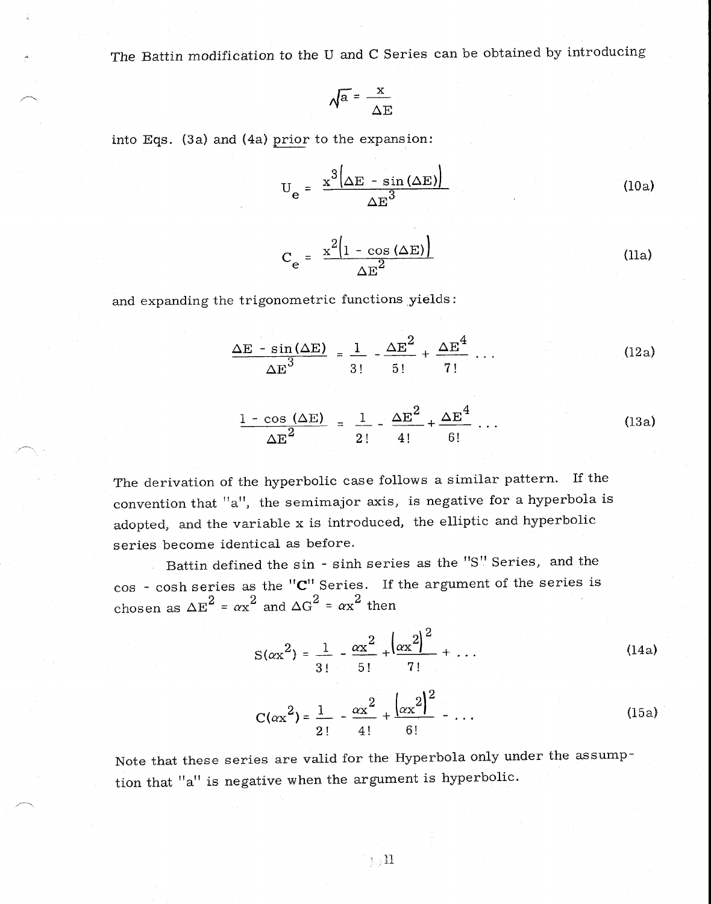The Battin modification to the U and C Series can be obtained by introducing

$$
\sqrt{a} = \frac{x}{\Delta E}
$$

into Eqs. (3a) and (4a) prior to the expansion:

$$
U_e = \frac{x^3(\Delta E - \sin(\Delta E))}{\Delta E^3}
$$
 (10a)

$$
C_e = \frac{x^2 \left(1 - \cos(\Delta E)\right)}{\Delta E^2}
$$
 (11a)

and expanding the trigonometric functions yields:

$$
\frac{\Delta E - \sin(\Delta E)}{\Delta E^3} = \frac{1}{3!} - \frac{\Delta E^2}{5!} + \frac{\Delta E^4}{7!} \dots
$$
\n(12a)\n  
\n1 - \cos(\Delta E) = 1 - \frac{\Delta E^2}{5!} + \frac{\Delta E^4}{5!} \dots\n(13a)

The derivation of the hyperbolic case follows a similar pattern. If the convention that 
$$
"a"
$$
, the semimajor axis, is negative for a hyperbola is adopted, and the variable x is introduced, the elliptic and hyperbolic series become identical as before.

 $\Delta E^2$  2! 4! 6!

Battin defined the sin - sinh series as the "S" Series, and the cos - cosh series as the "C" Series. If the argument of the series is chosen as  $\Delta E^2 = \alpha x^2$  and  $\Delta G^2 = \alpha x^2$  then

$$
S(\alpha x^2) = \frac{1}{3!} - \frac{\alpha x^2}{5!} + \left(\frac{\alpha x^2}{7!} + \dots\right)
$$
 (14a)

$$
C(\alpha x^2) = \frac{1}{2!} - \frac{\alpha x^2}{4!} + \frac{(\alpha x^2)^2}{6!} - \dots
$$
 (15a)

Note that these series are valid for the Hyperbola only under the assumption that "a" is negative when the argument is hyperbolic.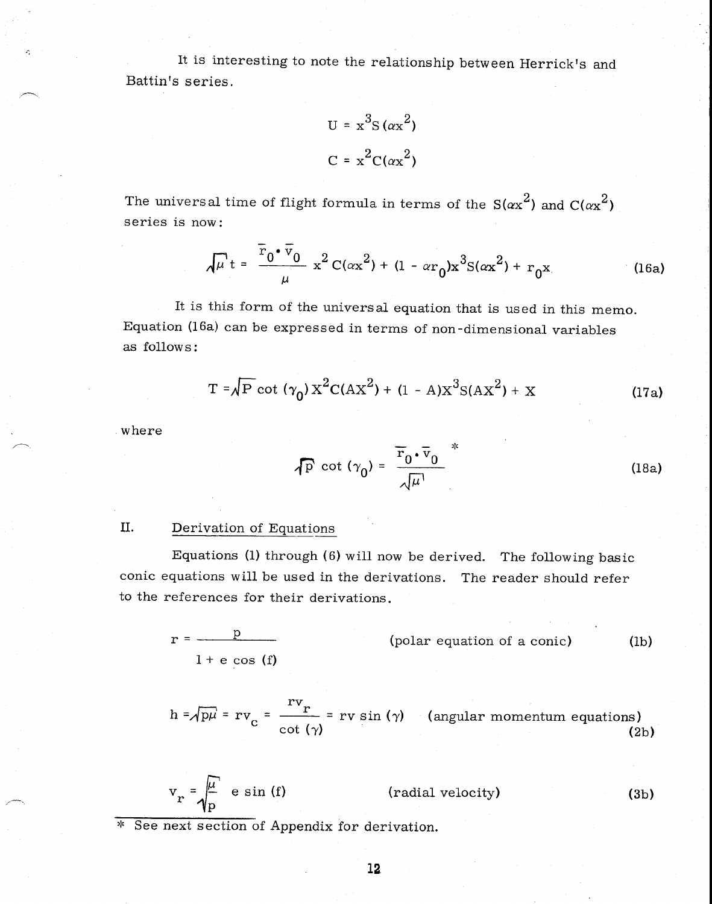It is interesting to note the relationship between Herrick's and Battin's series.

$$
U = x3S (\alpha x2)
$$

$$
C = x2C(\alpha x2)
$$

The universal time of flight formula in terms of the  $S(\alpha x^2)$  and  $C(\alpha x^2)$ series is now:

$$
\sqrt{\mu} t = \frac{\bar{r}_0 \cdot \bar{v}_0}{\mu} x^2 C(\alpha x^2) + (1 - \alpha r_0) x^3 S(\alpha x^2) + r_0 x
$$
 (16a)

It is this form of the universal equation that is used in this memo. Equation (16a) can be expressed in terms of non-dimensional variables as follows:

$$
T = \sqrt{P} \cot (\gamma_0) X^2 C (AX^2) + (1 - A) X^3 S (AX^2) + X
$$
 (17a)

where

$$
\sqrt{P} \cot (\gamma_0) = \frac{\overline{r}_0 \cdot \overline{v}_0}{\sqrt{\mu}}
$$
 (18a)

#### II. Derivation of Equations

Equations (1) through (6) will now be derived. The following basic conic equations will be used in the derivations. The reader should refer to the references for their derivations.

$$
r = \frac{p}{1 + e \cos(f)}
$$
 (polar equation of a conic) (lb)

$$
h = \sqrt{p\mu} = rv_c = \frac{rv_r}{\cot(\gamma)} = rv \sin(\gamma) \quad \text{(angular momentum equations)} \tag{2b}
$$

$$
v_r = \sqrt{\frac{\mu}{p}} \text{ e sin (f)}
$$
 (radial velocity) (3b)

\* See next section of Appendix for derivation.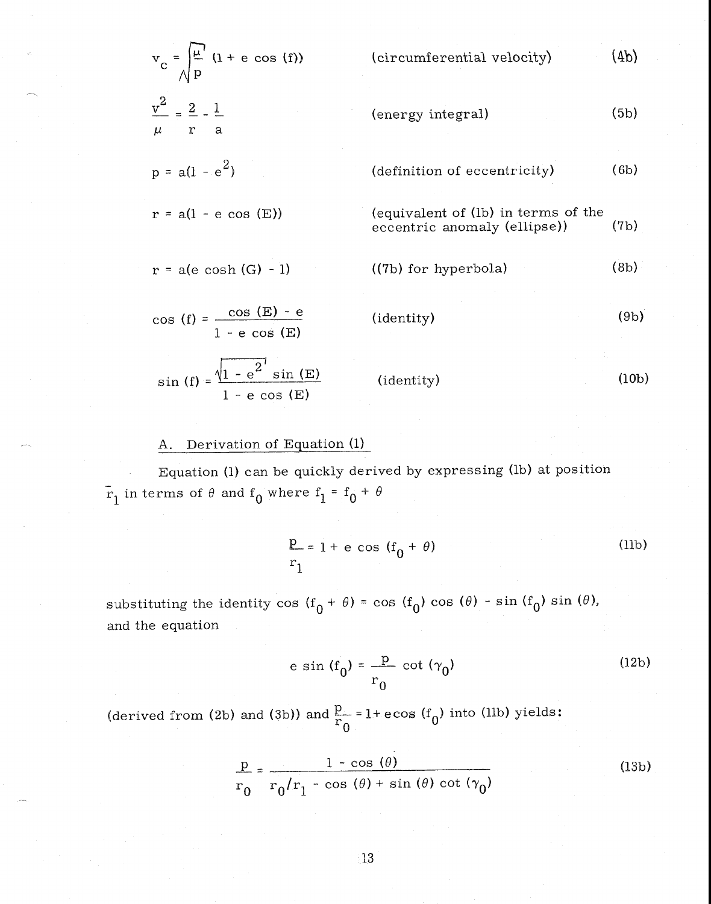$$
v_{c} = \sqrt{\frac{\mu}{p}} (1 + e \cos(f))
$$
 (circumferential velocity) (4b)  
\n
$$
\frac{v^{2}}{\mu} = \frac{2}{r} - \frac{1}{a}
$$
 (energy integral) (5b)  
\n
$$
p = a(1 - e^{2})
$$
 (definition of eccentricity) (6b)  
\n
$$
r = a(1 - e \cos(E))
$$
 (equivalent of (1b) in terms of the  
\neccentric anomaly (ellipse)) (7b)  
\n
$$
r = a(e \cosh(G) - 1)
$$
 ((7b) for hyperbola) (8b)  
\n
$$
\cos(f) = \frac{\cos(E) - e}{1 - e \cos(E)}
$$
 (identity) (9b)  
\n
$$
\sin(f) = \frac{\sqrt{1 - e^{2}} \sin(E)}{1 - e \cos(E)}
$$
 (identity) (10b)

## A. Derivation of Equation (1)

Equation (1) can be quickly derived by expressing (lb) at position  $\mathbf{r}_1$  in terms of  $\theta$  and  $\mathbf{f}_0$  where  $\mathbf{f}_1 = \mathbf{f}_0 + \mathbf{f}_1$ 

$$
\frac{p}{r_1} = 1 + e \cos(f_0 + \theta)
$$
 (11b)

substituting the identity cos  $(f_0 + \theta) = \cos(f_0) \cos(\theta) - \sin(f_0) \sin(\theta)$ , and the equation

> e sin  $(f_0) = \frac{p}{\sqrt{p}} \cot (\gamma_0 )$  $r_0$ (12b)

(derived from (2b) and (3b)) and  $\frac{p}{r_0}$  = 1+ ecos (f<sub>0</sub>) into (llb) yields:

$$
\frac{p}{r_0} = \frac{1 - \cos(\theta)}{r_0/r_1 - \cos(\theta) + \sin(\theta) \cot(\gamma_0)}
$$
(13b)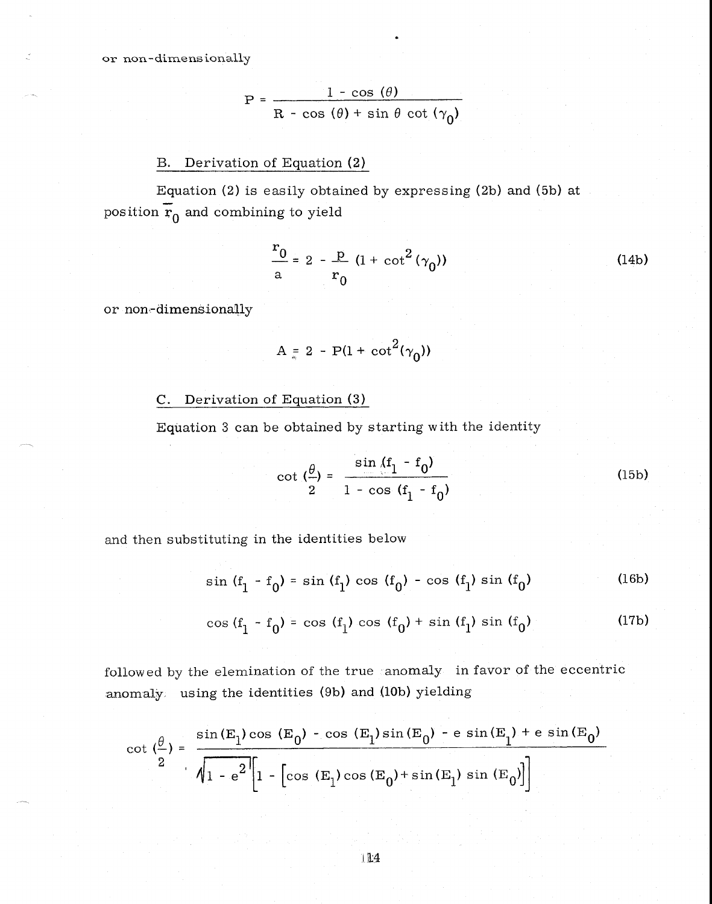$$
P = \frac{1 - \cos(\theta)}{R - \cos(\theta) + \sin \theta \cot(\gamma_0)}
$$

## B. Derivation of Equation (2)

Equation (2) is easily obtained by expressing (2b) and (5b) at position  $\mathbf{r}_0$  and combining to yield

$$
\frac{r_0}{a} = 2 - \frac{p}{r_0} (1 + \cot^2(\gamma_0))
$$
 (14b)

or non-dimensionally

$$
A = 2 - P(1 + \cot^2(\gamma_0))
$$

## C. Derivation of Equation (3)

Equation 3 can be obtained by starting with the identity

$$
\cot\left(\frac{\theta}{2}\right) = \frac{\sin\left(\frac{f_1 - f_0}{2}\right)}{1 - \cos\left(\frac{f_1 - f_0}{2}\right)}
$$
(15b)

and then substituting in the identities below

$$
\sin (f_1 - f_0) = \sin (f_1) \cos (f_0) - \cos (f_1) \sin (f_0)
$$
 (16b)

$$
\cos (f_1 - f_0) = \cos (f_1) \cos (f_0) + \sin (f_1) \sin (f_0)
$$
 (17b)

followed by the elemination of the true anomaly in favor of the eccentric anomaly using the identities (9b) and (10b) yielding

$$
\cot\left(\frac{\theta}{2}\right) = \frac{\sin(E_1)\cos(E_0) - \cos(E_1)\sin(E_0) - e\sin(E_1) + e\sin(E_0)}{\sqrt{1 - e^2} \left[1 - \left[\cos(E_1)\cos(E_0) + \sin(E_1)\sin(E_0)\right]\right]}
$$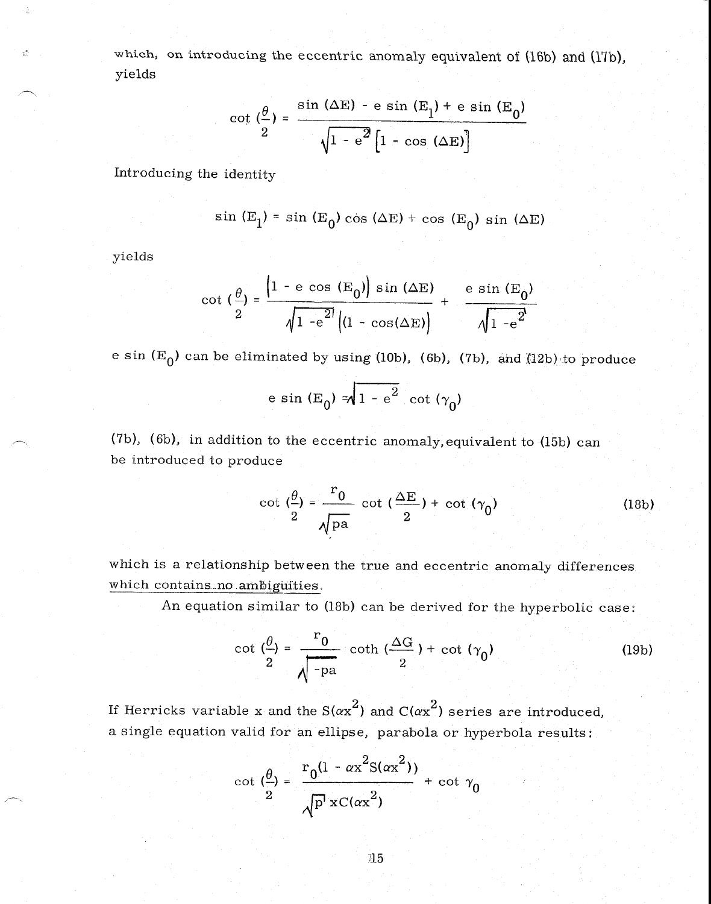which, on introducing the eccentric anomaly equivalent of (16b) and (17b), yields

$$
\cot\left(\frac{\theta}{2}\right) = \frac{\sin\left(\Delta E\right) - e \sin\left(E_1\right) + e \sin\left(E_0\right)}{\sqrt{1 - e^2 \left[1 - \cos\left(\Delta E\right)\right]}}
$$

Introducing the identity

$$
\sin(E_1) = \sin(E_0) \cos(\Delta E) + \cos(E_0) \sin(\Delta E)
$$

yields

Ý.

$$
\cot\left(\frac{\theta}{2}\right) = \frac{\left|1 - e \cos\left(\mathbf{E}_0\right)\right| \sin\left(\Delta \mathbf{E}\right)}{\sqrt{1 - e^{2t} \left|(1 - \cos(\Delta \mathbf{E})\right)}} + \frac{e \sin\left(\mathbf{E}_0\right)}{\sqrt{1 - e^{2t}}}
$$

e sin  $(E_0)$  can be eliminated by using (10b), (6b), (7b), and  $(12b)$  to produce

$$
e \sin(E_0) = \sqrt{1 - e^2} \cot(\gamma_0)
$$

(7b), (6b), in addition to the eccentric anomaly,equivalent to (15b) can be introduced to produce

$$
\cot\left(\frac{\theta}{2}\right) = \frac{r_0}{\sqrt{\text{pa}}} \cot\left(\frac{\Delta E}{2}\right) + \cot\left(\gamma_0\right) \tag{18b}
$$

which is a relationship between the true and eccentric anomaly differences which contains no ambiguities.

An equation similar to (18b) can be derived for the hyperbolic case:

$$
\cot\left(\frac{\theta}{2}\right) = \frac{r_0}{\sqrt{-p_a}} \coth\left(\frac{\Delta G}{2}\right) + \cot\left(\gamma_0\right) \tag{19b}
$$

If Herricks variable x and the S( $\alpha x^2$ ) and C( $\alpha x^2$ ) series are introduced, a single equation valid for an ellipse, parabola or hyperbola results:

$$
\cot\left(\frac{\theta}{2}\right) = \frac{r_0(1 - \alpha x^2 S(\alpha x^2))}{\sqrt{p^2 x C(\alpha x^2)}} + \cot\gamma_0
$$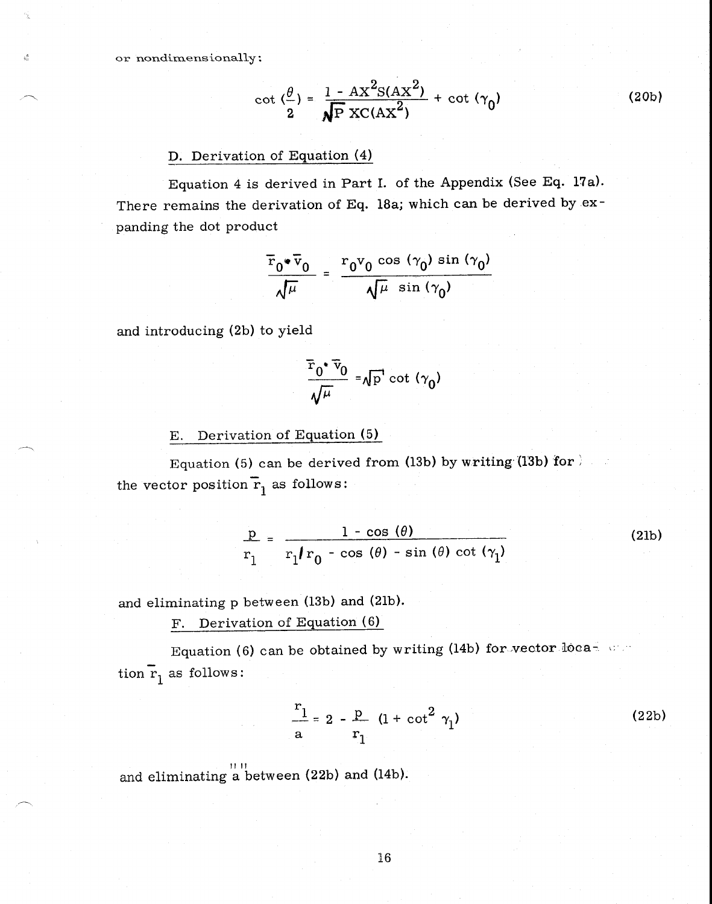or nondimensionally

$$
\cot\left(\frac{\theta}{2}\right) = \frac{1 - AX^2S(AX^2)}{\sqrt{P}XC(AX^2)} + \cot\left(\gamma_0\right)
$$
 (20b)

#### D. Derivation of Equation (4)

Equation 4 is derived in Part I. of the Appendix (See Eq. 17a). There remains the derivation of Eq. 18a; which can be derived by expanding the dot product

$$
\frac{\overline{r}_0 \cdot \overline{v}_0}{\sqrt{\mu}} = \frac{r_0 v_0 \cos (\gamma_0) \sin (\gamma_0)}{\sqrt{\mu} \sin (\gamma_0)}
$$

and introducing (2b) to yield

$$
\frac{\bar{r}_0 \cdot \bar{v}_0}{\sqrt{\mu}} = \sqrt{p} \cot (\gamma_0)
$$

E. Derivation of Equation (5)

Equation (5) can be derived from (13b) by writing (13b) for  $\mathbb{R}$ the vector position  $\mathbf{r}_1$  as follows:

$$
\frac{p}{r_1} = \frac{1 - \cos(\theta)}{r_1/r_0 - \cos(\theta) - \sin(\theta) \cot(\gamma_1)}
$$
(21b)

and eliminating p between (13b) and (21b).

F. Derivation of Equation (6)

Equation (6) can be obtained by writing (14b) for vector location  $\overline{r}_1$  as follows:

$$
\frac{r_1}{a} = 2 - \frac{p}{r_1} (1 + \cot^2 \gamma_1)
$$
 (22b)

and eliminating a between (22b) and (14b).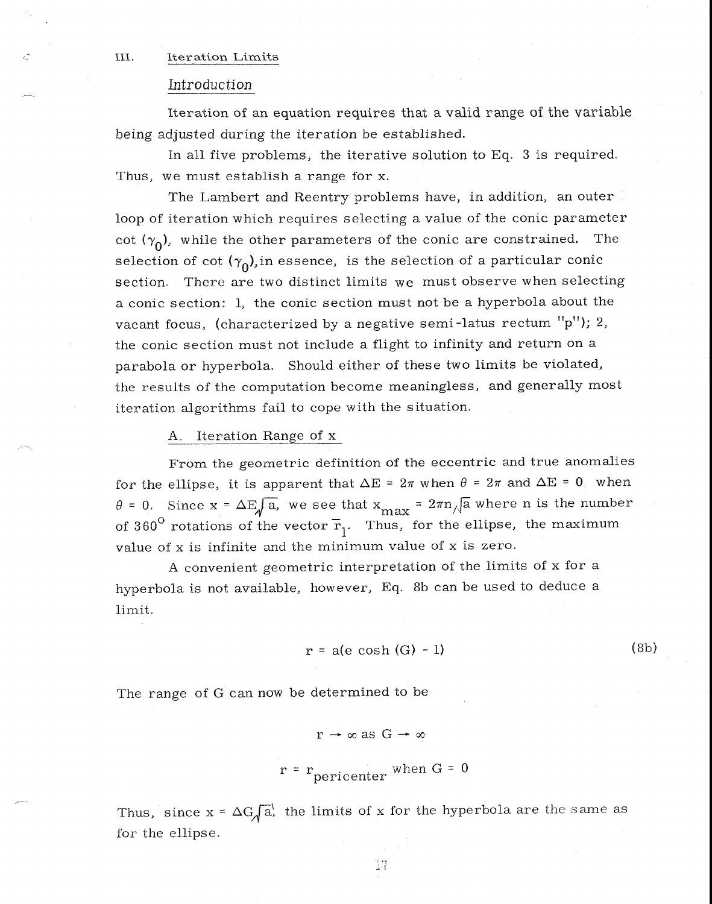#### III. Iteration Limits

#### Introduction

Iteration of an equation requires that a valid range of the variable being adjusted during the iteration be established.

In all five problems, the iterative solution to Eq. 3 is required. Thus, we must establish a range for x.

The Lambert and Reentry problems have, in addition, an outer loop of iteration which requires selecting a value of the conic parameter cot  $(\gamma_0)$ , while the other parameters of the conic are constrained. The selection of cot  $(\gamma_0)$ , in essence, is the selection of a particular conic section. There are two distinct limits we must observe when selecting a conic section: 1, the conic section must not be a hyperbola about the vacant focus, (characterized by a negative semi-latus rectum  $"p"$ ); 2, the conic section must not include a flight to infinity and return on a parabola or hyperbola. Should either of these two limits be violated, the results of the computation become meaningless, and generally most iteration algorithms fail to cope with the situation.

#### A. Iteration Range of x

From the geometric definition of the eccentric and true anomalies for the ellipse, it is apparent that  $\Delta E = 2\pi$  when  $\theta = 2\pi$  and  $\Delta E = 0$  when  $\theta = 0$ . Since  $x = \Delta E \sqrt{a}$ , we see that  $x_{\text{max}} = 2\pi n \sqrt{a}$  where n is the number of 360<sup>o</sup> rotations of the vector  $\overline{r}_1$ . Thus, for the ellipse, the maximum value of x is infinite and the minimum value of x is zero.

A convenient geometric interpretation of the limits of x for a hyperbola is not available, however, Eq. 8b can be used to deduce a limit.

$$
r = a(e \cosh(G) - 1) \tag{8b}
$$

The range of G can now be determined to be

$$
r \to \infty \text{ as } G \to \infty
$$

$$
r = r
$$
<sub>pericenter</sub> when G = 0

Thus, since  $x = \Delta G \sqrt{a}$ , the limits of x for the hyperbola are the same as for the ellipse.

37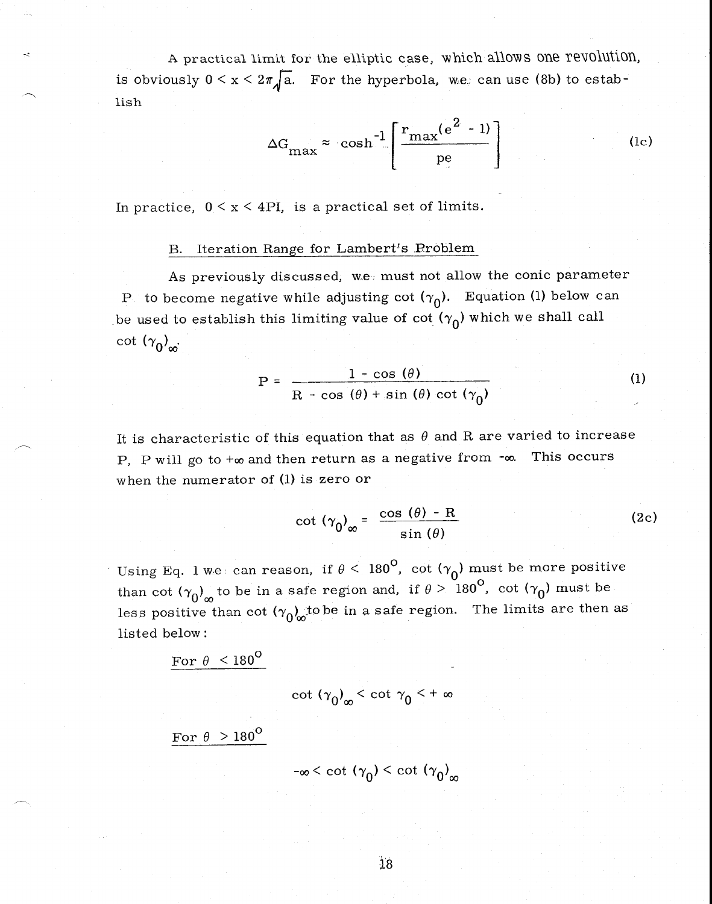A practical limit for the elliptic case, which allows one revolution, is obviously  $0 \le x \le 2\pi \sqrt{a}$ . For the hyperbola, we can use (8b) to establish

$$
\Delta G_{\text{max}} \approx \cosh^{-1} \left[ \frac{r_{\text{max}}(e^2 - 1)}{p e} \right] \tag{1c}
$$

In practice,  $0 \le x \le 4PI$ , is a practical set of limits.

#### B. Iteration Range for Lambert's Problem

As previously discussed, we must not allow the conic parameter P to become negative while adjusting cot  $(\gamma_0)$ . Equation (1) below can be used to establish this limiting value of cot  $(\gamma_0)$  which we shall call cot  $(\gamma_0)_{\infty}$ .

$$
P = \frac{1 - \cos(\theta)}{R - \cos(\theta) + \sin(\theta) \cot(\gamma_0)}
$$
 (1)

It is characteristic of this equation that as  $\theta$  and R are varied to increase P, P will go to  $+\infty$  and then return as a negative from  $-\infty$ . This occurs when the numerator of (1) is zero or

$$
\cot (\gamma_0)_{\infty} = \frac{\cos (\theta) - R}{\sin (\theta)}
$$
 (2c)

Using Eq. 1 we can reason, if  $\theta < 180^\mathsf{O}$ , cot  $(\gamma_{\mathsf{O}})$  must be more positive than cot  $(\gamma_0)_{\infty}$  to be in a safe region and, if  $\theta > 180^{\circ}$ , cot  $(\gamma_0)$  must be less positive than cot  $(\gamma_0)_\infty$  to be in a safe region. The limits are then as listed below :

For 
$$
\theta
$$
 < 180<sup>o</sup>  
cot  $(\gamma_0)_{\infty}$  < cot  $\gamma_0$  < +  $\infty$ 

For 
$$
\theta > 180^{\circ}
$$

$$
-\infty < \cot (\gamma_0) < \cot (\gamma_0)
$$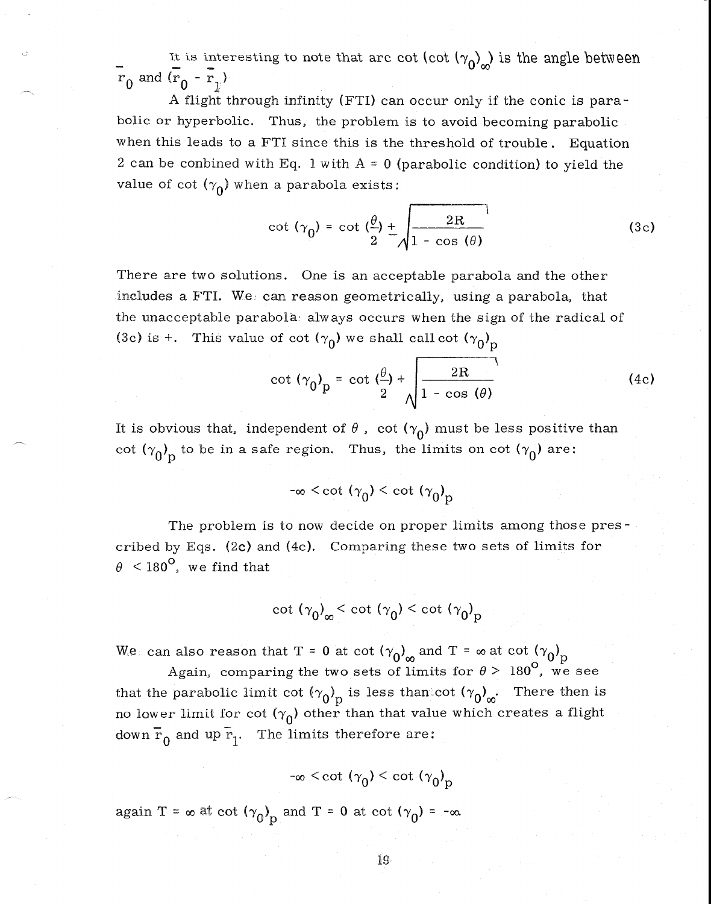It is interesting to note that arc cot (cot  $(\gamma_0)_{\infty}$ ) is the angle between  $\overline{r}_0$  and  $\overline{(r}_0 - \overline{r}_1)$ 

A flight through infinity (FTI) can occur only if the conic is parabolic or hyperbolic. Thus, the problem is to avoid becoming parabolic when this leads to a FTI since this is the threshold of trouble. Equation 2 can be conbined with Eq. 1 with  $A = 0$  (parabolic condition) to yield the value of cot  $(\gamma_0)$  when a parabola exists:

$$
\cot (\gamma_0) = \cot \left(\frac{\theta}{2}\right) + \sqrt{\frac{2R}{1 - \cos (\theta)}}\tag{3c}
$$

There are two solutions. One is an acceptable parabola and the other includes a FTI. We can reason geometrically, using a parabola, that the unacceptable parabola always occurs when the sign of the radical of (3c) is +. This value of cot  $(\gamma_0)$  we shall call cot  $(\gamma_0)_\text{p}$ 

$$
\cot (\gamma_0)_p = \cot \left(\frac{\theta}{2}\right) + \sqrt{\frac{2R}{1 - \cos (\theta)}}\tag{4c}
$$

It is obvious that, independent of  $\theta$ , cot  $(\gamma_0)$  must be less positive than cot  $(\gamma_0)_p$  to be in a safe region. Thus, the limits on cot  $(\gamma_0)$  are:

$$
-\infty < \cot (\gamma_0) < \cot (\gamma_0)_p
$$

The problem is to now decide on proper limits among those prescribed by Eqs. (2c) and (4c). Comparing these two sets of limits for  $\theta$  < 180<sup>°</sup>, we find that

cot  $(\gamma_0)_\infty <$  cot  $(\gamma_0) <$  cot  $(\gamma_0)_p$ 

We can also reason that T = 0 at cot  $(\gamma_0)_{\infty}$  and T =  $\infty$  at cot  $(\gamma_0)_{\text{p}}$ 

Again, comparing the two sets of limits for  $\theta > 180^\circ$ , we see that the parabolic limit cot  $({\gamma_0})_{\text{p}}$  is less than cot  $({\gamma_0})_{\text{p}}$ . There then is no lower limit for cot  $(\gamma_0)$  other than that value which creates a flight down  $\overline{r}_0$  and up  $\overline{r}_1$ . The limits therefore are:

 $-\infty \le \cot (\gamma_0) \le \cot (\gamma_0)_p$ 

again T =  $\infty$  at cot  $(\gamma_0)_p$  and T = 0 at cot  $(\gamma_0)$  =  $-\infty$ .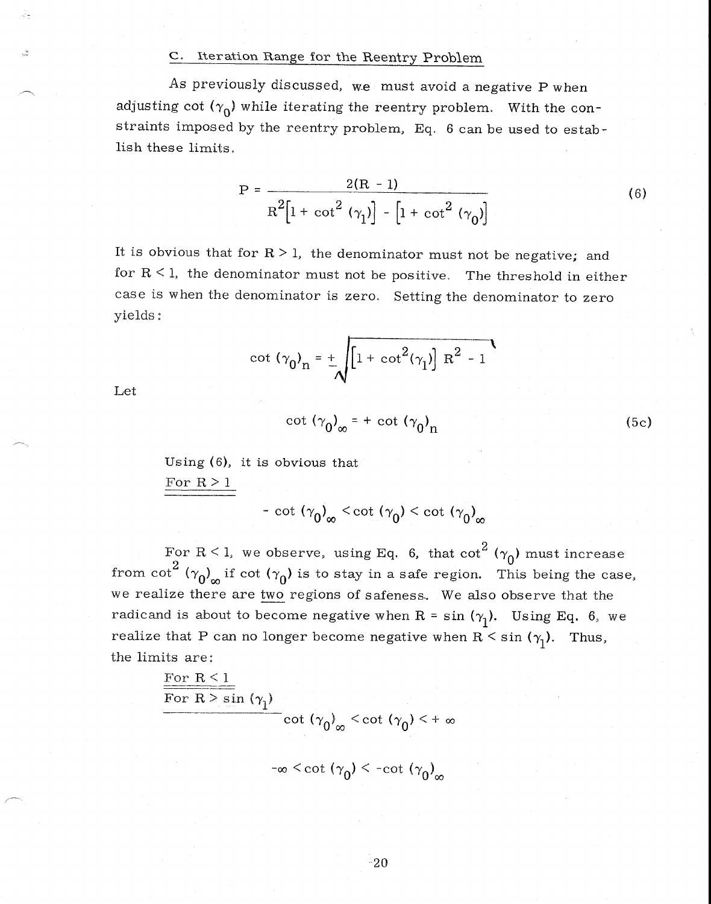#### c. Iteration Range for the Reentry Problem

As previously discussed, we must avoid a negative P when adjusting cot  $(\gamma_0)$  while iterating the reentry problem. With the constraints imposed by the reentry problem, Eq. 6 can be used to establish these limits.

$$
P = \frac{2(R - 1)}{R^{2}[1 + \cot^{2}(\gamma_{1})] - [1 + \cot^{2}(\gamma_{0})]}
$$
(6)

It is obvious that for  $R > 1$ , the denominator must not be negative; and for  $R < 1$ , the denominator must not be positive. The threshold in either case is when the denominator is zero. Setting the denominator to zero yields:

$$
\cot (\gamma_0)_n = \pm \sqrt{[1 + \cot^2(\gamma_1)] R^2 - 1}
$$

Let

$$
\cot (\gamma_0)_{\infty} = + \cot (\gamma_0)_{\text{n}} \tag{5c}
$$

Using (6), it is obvious that For  $R > 1$ 

- cot  $(\gamma_0)_{\infty}$  < cot  $(\gamma_0)$  < cot  $(\gamma_0)_{\infty}$ 

For R < 1, we observe, using Eq. 6, that  $cot^2$  ( $\gamma_0$ ) must increase from cot<sup>2</sup>  $(\gamma_0)_{\infty}$  if cot  $(\gamma_0)$  is to stay in a safe region. This being the case, we realize there are two regions of safeness. We also observe that the radicand is about to become negative when R = sin  $(\gamma_1)$ . Using Eq. 6, we realize that P can no longer become negative when  $R \leq \sin (\gamma_1)$ . Thus, the limits are:

For R 
$$
< 1
$$
\nFor R  $> \sin(\gamma_1)$ \n $\cot(\gamma_0)_{\infty} < \cot(\gamma_0) < +\infty$ 

 $-\infty < \cot (\gamma_0) < -\cot (\gamma_0)_{\infty}$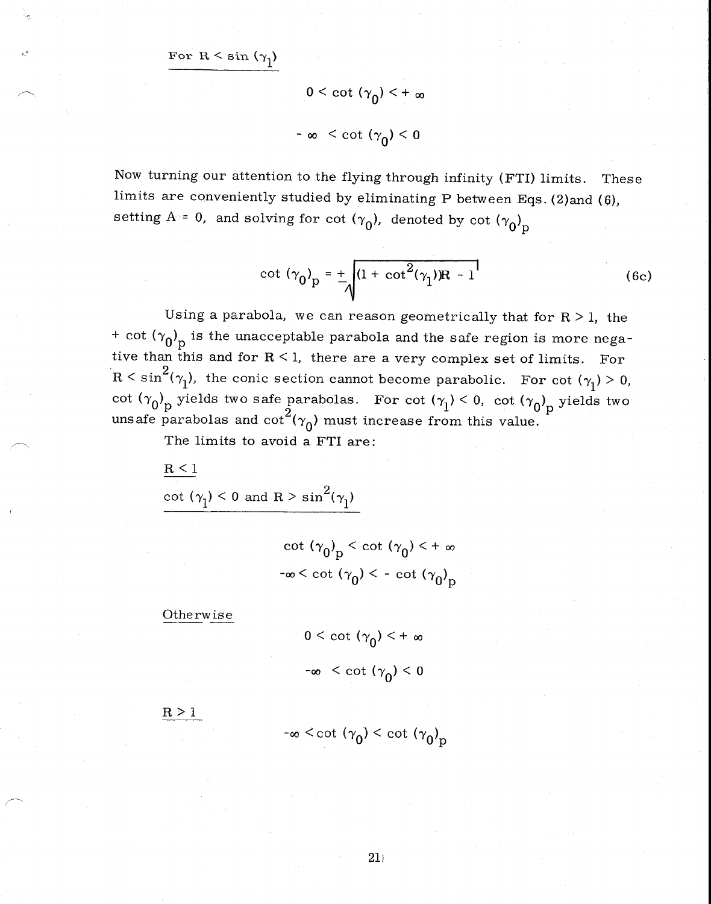For  $R < \sin (\gamma_1)$ 

$$
0<\cot(\gamma_0)<+\infty
$$

$$
-\infty < \cot(\gamma_0) < 0
$$

Now turning our attention to the flying through infinity (FTI) limits. These limits are conveniently studied by eliminating P between Eqs. (2)and (6), setting A = 0, and solving for cot  $(\gamma_0)$ , denoted by cot  $(\gamma_0)$ <sub>p</sub>

$$
\cot (\gamma_0)_p = \frac{1}{\sqrt{(1 + \cot^2(\gamma_1)R - 1)}}
$$
 (6c)

Using a parabola, we can reason geometrically that for  $R > 1$ , the + cot  $(\gamma_0)_{\text{p}}$  is the unacceptable parabola and the safe region is more negative than this and for  $R < 1$ , there are a very complex set of limits. For  $R \leq \sin^2(\gamma_1)$ , the conic section cannot become parabolic. For cot  $(\gamma_1) > 0$ , cot  $(\gamma_0)_p$  yields two safe parabolas. For cot  $(\gamma_1) < 0$ , cot  $(\gamma_0)_p$  yields two unsafe parabolas and cot<sup>2</sup>( $\gamma_0$ ) must increase from this value.

The limits to avoid a FTI are:

 $R < 1$ 

cot  $(\gamma_1)$  < 0 and R > sin<sup>2</sup>( $\gamma_1$ )

cot  $(\gamma_0)_p <$  cot  $(\gamma_0) < +\infty$  $-\infty < \cot (\gamma_0) < -\cot (\gamma_0)_p$ 

Otherwise

 $0 \le \cot (\gamma_0) \le +\infty$  $-\infty < \cot (\gamma_0) < 0$ 

 $R \geq 1$ 

$$
-\infty < \cot (\gamma_0) < \cot (\gamma_0)_p
$$